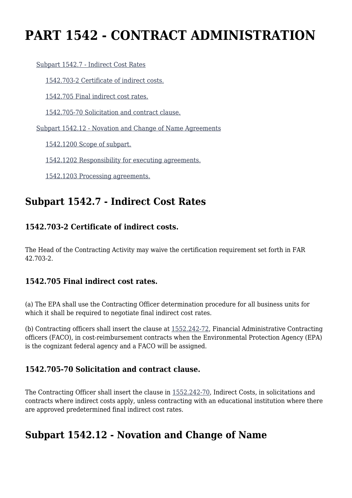# **PART 1542 - CONTRACT ADMINISTRATION**

#### [Subpart 1542.7 - Indirect Cost Rates](https://origin-www.acquisition.gov/%5Brp:link:epaar-part-1542%5D#Subpart_1542_7_T48_6017331)

[1542.703-2 Certificate of indirect costs.](https://origin-www.acquisition.gov/%5Brp:link:epaar-part-1542%5D#Section_1542_703_2_T48_601733111)

[1542.705 Final indirect cost rates.](https://origin-www.acquisition.gov/%5Brp:link:epaar-part-1542%5D#Section_1542_705_T48_601733112)

[1542.705-70 Solicitation and contract clause.](https://origin-www.acquisition.gov/%5Brp:link:epaar-part-1542%5D#Section_1542_705_70_T48_601733113)

[Subpart 1542.12 - Novation and Change of Name Agreements](https://origin-www.acquisition.gov/%5Brp:link:epaar-part-1542%5D#Subpart_1542_12_T48_6017332)

[1542.1200 Scope of subpart.](https://origin-www.acquisition.gov/%5Brp:link:epaar-part-1542%5D#Section_1542_1200_T48_601733211)

[1542.1202 Responsibility for executing agreements.](https://origin-www.acquisition.gov/%5Brp:link:epaar-part-1542%5D#Section_1542_1202_T48_601733212)

[1542.1203 Processing agreements.](https://origin-www.acquisition.gov/%5Brp:link:epaar-part-1542%5D#Section_1542_1203_T48_601733213)

### **Subpart 1542.7 - Indirect Cost Rates**

### **1542.703-2 Certificate of indirect costs.**

The Head of the Contracting Activity may waive the certification requirement set forth in FAR 42.703-2.

### **1542.705 Final indirect cost rates.**

(a) The EPA shall use the Contracting Officer determination procedure for all business units for which it shall be required to negotiate final indirect cost rates.

(b) Contracting officers shall insert the clause at [1552.242-72](https://origin-www.acquisition.gov/%5Brp:link:epaar-part-1552%5D#Section_1552_242_72_T48_6018371182), Financial Administrative Contracting officers (FACO), in cost-reimbursement contracts when the Environmental Protection Agency (EPA) is the cognizant federal agency and a FACO will be assigned.

### **1542.705-70 Solicitation and contract clause.**

The Contracting Officer shall insert the clause in [1552.242-70,](https://origin-www.acquisition.gov/%5Brp:link:epaar-part-1552%5D#Section_1552_242_70_T48_6018371181) Indirect Costs, in solicitations and contracts where indirect costs apply, unless contracting with an educational institution where there are approved predetermined final indirect cost rates.

## **Subpart 1542.12 - Novation and Change of Name**